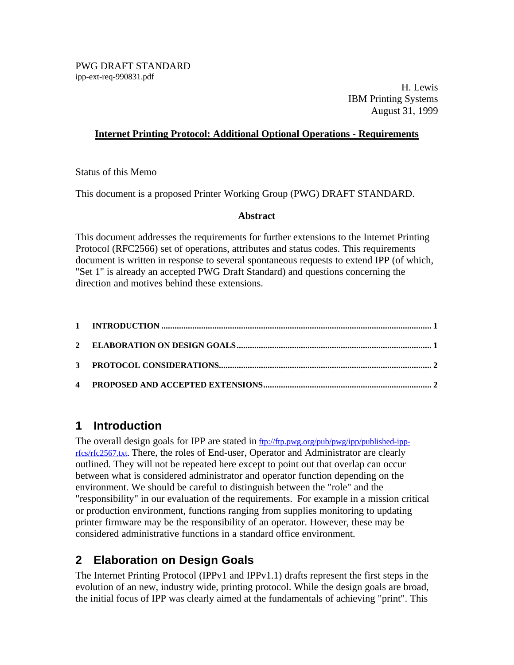PWG DRAFT STANDARD ipp-ext-req-990831.pdf

H. Lewis IBM Printing Systems August 31, 1999

### **Internet Printing Protocol: Additional Optional Operations - Requirements**

#### Status of this Memo

This document is a proposed Printer Working Group (PWG) DRAFT STANDARD.

### **Abstract**

This document addresses the requirements for further extensions to the Internet Printing Protocol (RFC2566) set of operations, attributes and status codes. This requirements document is written in response to several spontaneous requests to extend IPP (of which, "Set 1" is already an accepted PWG Draft Standard) and questions concerning the direction and motives behind these extensions.

### **1 Introduction**

The overall design goals for IPP are stated in ftp://ftp.pwg.org/pub/pwg/ipp/published-ipprfcs/rfc2567.txt. There, the roles of End-user, Operator and Administrator are clearly outlined. They will not be repeated here except to point out that overlap can occur between what is considered administrator and operator function depending on the environment. We should be careful to distinguish between the "role" and the "responsibility" in our evaluation of the requirements. For example in a mission critical or production environment, functions ranging from supplies monitoring to updating printer firmware may be the responsibility of an operator. However, these may be considered administrative functions in a standard office environment.

## **2 Elaboration on Design Goals**

The Internet Printing Protocol (IPPv1 and IPPv1.1) drafts represent the first steps in the evolution of an new, industry wide, printing protocol. While the design goals are broad, the initial focus of IPP was clearly aimed at the fundamentals of achieving "print". This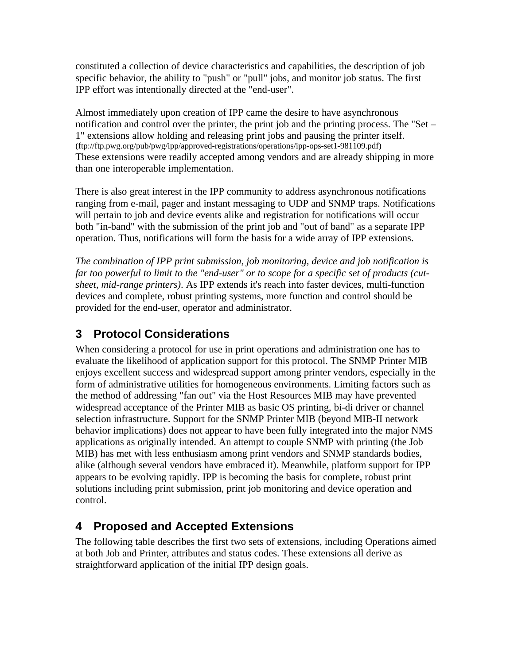constituted a collection of device characteristics and capabilities, the description of job specific behavior, the ability to "push" or "pull" jobs, and monitor job status. The first IPP effort was intentionally directed at the "end-user".

Almost immediately upon creation of IPP came the desire to have asynchronous notification and control over the printer, the print job and the printing process. The "Set – 1" extensions allow holding and releasing print jobs and pausing the printer itself. (ftp://ftp.pwg.org/pub/pwg/ipp/approved-registrations/operations/ipp-ops-set1-981109.pdf) These extensions were readily accepted among vendors and are already shipping in more than one interoperable implementation.

There is also great interest in the IPP community to address asynchronous notifications ranging from e-mail, pager and instant messaging to UDP and SNMP traps. Notifications will pertain to job and device events alike and registration for notifications will occur both "in-band" with the submission of the print job and "out of band" as a separate IPP operation. Thus, notifications will form the basis for a wide array of IPP extensions.

*The combination of IPP print submission, job monitoring, device and job notification is far too powerful to limit to the "end-user" or to scope for a specific set of products (cutsheet, mid-range printers)*. As IPP extends it's reach into faster devices, multi-function devices and complete, robust printing systems, more function and control should be provided for the end-user, operator and administrator.

# **3 Protocol Considerations**

When considering a protocol for use in print operations and administration one has to evaluate the likelihood of application support for this protocol. The SNMP Printer MIB enjoys excellent success and widespread support among printer vendors, especially in the form of administrative utilities for homogeneous environments. Limiting factors such as the method of addressing "fan out" via the Host Resources MIB may have prevented widespread acceptance of the Printer MIB as basic OS printing, bi-di driver or channel selection infrastructure. Support for the SNMP Printer MIB (beyond MIB-II network behavior implications) does not appear to have been fully integrated into the major NMS applications as originally intended. An attempt to couple SNMP with printing (the Job MIB) has met with less enthusiasm among print vendors and SNMP standards bodies, alike (although several vendors have embraced it). Meanwhile, platform support for IPP appears to be evolving rapidly. IPP is becoming the basis for complete, robust print solutions including print submission, print job monitoring and device operation and control.

# **4 Proposed and Accepted Extensions**

The following table describes the first two sets of extensions, including Operations aimed at both Job and Printer, attributes and status codes. These extensions all derive as straightforward application of the initial IPP design goals.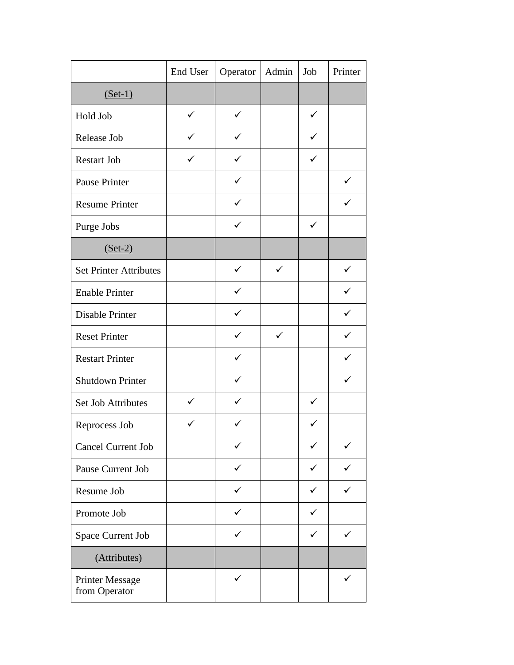|                                         | End User     | Operator     | Admin        | Job          | Printer      |
|-----------------------------------------|--------------|--------------|--------------|--------------|--------------|
| $(Set-1)$                               |              |              |              |              |              |
| Hold Job                                | $\checkmark$ | $\checkmark$ |              | $\checkmark$ |              |
| Release Job                             | ✓            |              |              | ✓            |              |
| <b>Restart Job</b>                      | $\checkmark$ | ✓            |              | $\checkmark$ |              |
| Pause Printer                           |              | $\checkmark$ |              |              | $\checkmark$ |
| <b>Resume Printer</b>                   |              | ✓            |              |              | ✓            |
| Purge Jobs                              |              | ✓            |              | $\checkmark$ |              |
| $(Set-2)$                               |              |              |              |              |              |
| <b>Set Printer Attributes</b>           |              | $\checkmark$ | $\checkmark$ |              | $\checkmark$ |
| <b>Enable Printer</b>                   |              | $\checkmark$ |              |              | $\checkmark$ |
| Disable Printer                         |              | ✓            |              |              | ✓            |
| <b>Reset Printer</b>                    |              | $\checkmark$ | $\checkmark$ |              | $\checkmark$ |
| <b>Restart Printer</b>                  |              | ✓            |              |              | ✓            |
| <b>Shutdown Printer</b>                 |              | ✓            |              |              | $\checkmark$ |
| <b>Set Job Attributes</b>               | $\checkmark$ | ✓            |              | $\checkmark$ |              |
| Reprocess Job                           |              |              |              | ✓            |              |
| <b>Cancel Current Job</b>               |              |              |              | $\checkmark$ |              |
| Pause Current Job                       |              | ✓            |              | ✓            | ✓            |
| Resume Job                              |              | ✓            |              | $\checkmark$ | ✓            |
| Promote Job                             |              | ✓            |              | ✓            |              |
| Space Current Job                       |              |              |              | ✓            | ✓            |
| (Attributes)                            |              |              |              |              |              |
| <b>Printer Message</b><br>from Operator |              | ✓            |              |              |              |